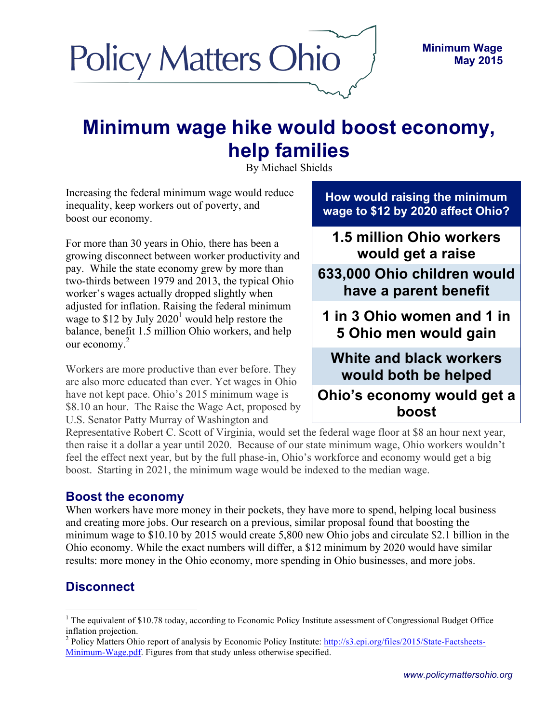

# **Minimum wage hike would boost economy, help families**

By Michael Shields

Increasing the federal minimum wage would reduce inequality, keep workers out of poverty, and boost our economy.

For more than 30 years in Ohio, there has been a growing disconnect between worker productivity and pay. While the state economy grew by more than two-thirds between 1979 and 2013, the typical Ohio worker's wages actually dropped slightly when adjusted for inflation. Raising the federal minimum wage to \$12 by July  $2020<sup>1</sup>$  would help restore the balance, benefit 1.5 million Ohio workers, and help our economy. 2

Workers are more productive than ever before. They are also more educated than ever. Yet wages in Ohio have not kept pace. Ohio's 2015 minimum wage is \$8.10 an hour. The Raise the Wage Act, proposed by U.S. Senator Patty Murray of Washington and

**How would raising the minimum wage to \$12 by 2020 affect Ohio?**

**1.5 million Ohio workers would get a raise**

**633,000 Ohio children would have a parent benefit**

**benefitearn more 1 in 3 Ohio women and 1 in 5 Ohio men would gain**

**White and black workers would both be helped**

**Ohio's economy would get a boost**

Representative Robert C. Scott of Virginia, would set the federal wage floor at \$8 an hour next year, then raise it a dollar a year until 2020. Because of our state minimum wage, Ohio workers wouldn't feel the effect next year, but by the full phase-in, Ohio's workforce and economy would get a big boost. Starting in 2021, the minimum wage would be indexed to the median wage.

### **Boost the economy**

When workers have more money in their pockets, they have more to spend, helping local business and creating more jobs. Our research on a previous, similar proposal found that boosting the minimum wage to \$10.10 by 2015 would create 5,800 new Ohio jobs and circulate \$2.1 billion in the Ohio economy. While the exact numbers will differ, a \$12 minimum by 2020 would have similar results: more money in the Ohio economy, more spending in Ohio businesses, and more jobs.

# **Disconnect**

 $<sup>1</sup>$  The equivalent of \$10.78 today, according to Economic Policy Institute assessment of Congressional Budget Office</sup> inflation projection.

<sup>&</sup>lt;sup>2</sup> Policy Matters Ohio report of analysis by Economic Policy Institute: http://s3.epi.org/files/2015/State-Factsheets-Minimum-Wage.pdf. Figures from that study unless otherwise specified.